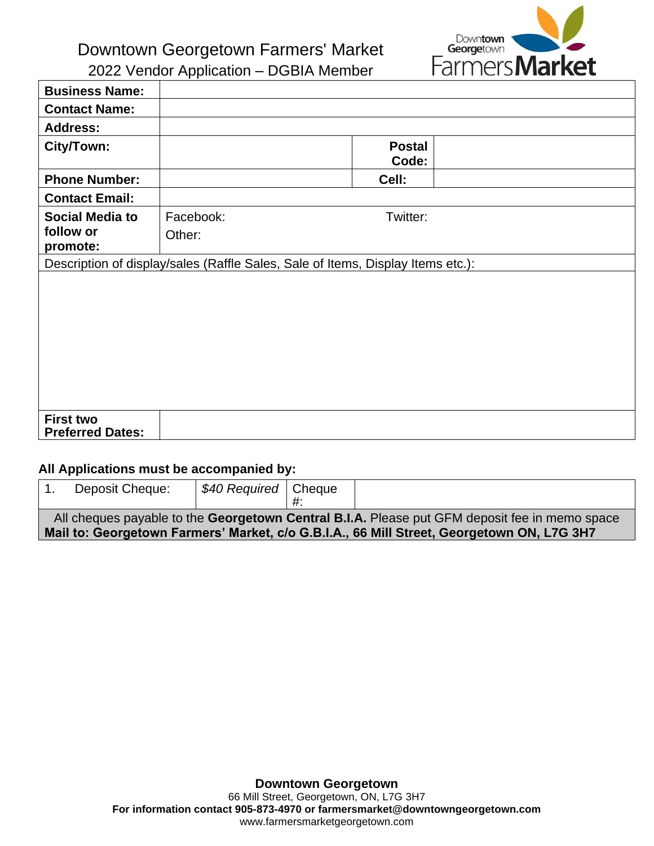**Downtown** Georgetown Farmers **Market** 

Downtown Georgetown Farmers' Market 2022 Vendor Application – DGBIA Member

**Business Name: Contact Name: Address: City/Town: Postal Code: Phone Number: Cell: Contact Email: Social Media to follow or promote:** Facebook: Twitter: Other: Description of display/sales (Raffle Sales, Sale of Items, Display Items etc.): **First two Preferred Dates:**

## **All Applications must be accompanied by:**

|                                                                                                                                                                                            | Deposit Cheque: | S40 Required   Cheque |  |  |
|--------------------------------------------------------------------------------------------------------------------------------------------------------------------------------------------|-----------------|-----------------------|--|--|
| All cheques payable to the Georgetown Central B.I.A. Please put GFM deposit fee in memo space<br>Mail to: Georgetown Farmers' Market, c/o G.B.I.A., 66 Mill Street, Georgetown ON, L7G 3H7 |                 |                       |  |  |